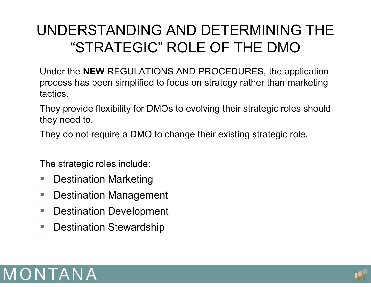# UNDERSTANDING AND DETERMINING THE "STRATEGIC" ROLE OF THE DMO

Under the **NEW** REGULATIONS AND PROCEDURES, the application process has been simplified to focus on strategy rather than marketing tactics.

They provide flexibility for DMOs to evolving their strategic roles should they need to.

They do not require a DMO to change their existing strategic role.

The strategic roles include:

- $\overline{\phantom{a}}$ Destination Marketing
- $\blacksquare$ Destination Management
- $\overline{\phantom{a}}$ Destination Development
- $\blacksquare$ Destination Stewardship



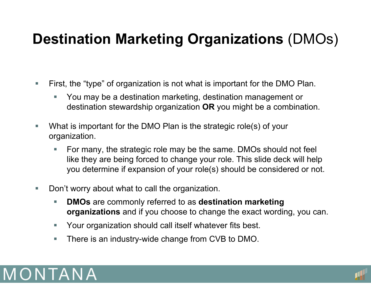# **Destination Marketing Organizations** (DMOs)

- $\overline{\phantom{a}}$  First, the "type" of organization is not what is important for the DMO Plan.
	- You may be a destination marketing, destination management or destination stewardship organization **OR** you might be a combination.
- $\mathcal{L}_{\mathcal{A}}$  What is important for the DMO Plan is the strategic role(s) of your organization.
	- For many, the strategic role may be the same. DMOs should not feel like they are being forced to change your role. This slide deck will help you determine if expansion of your role(s) should be considered or not.
- $\mathbb{R}^n$  Don't worry about what to call the organization.
	- **DMOs** are commonly referred to as **destination marketing organizations** and if you choose to change the exact wording, you can.
	- □ Your organization should call itself whatever fits best.
	- $\mathcal{L}_{\mathcal{A}}$ There is an industry-wide change from CVB to DMO.



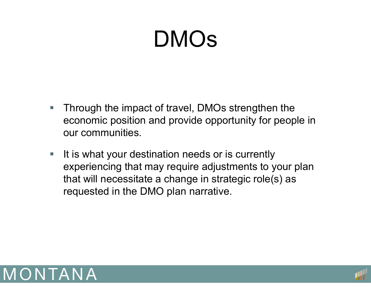# DMOs

- $\overline{\phantom{a}}$  Through the impact of travel, DMOs strengthen the economic position and provide opportunity for people in our communities.
- $\overline{\phantom{a}}$  It is what your destination needs or is currently experiencing that may require adjustments to your plan that will necessitate <sup>a</sup> change in strategic role(s) as requested in the DMO plan narrative.



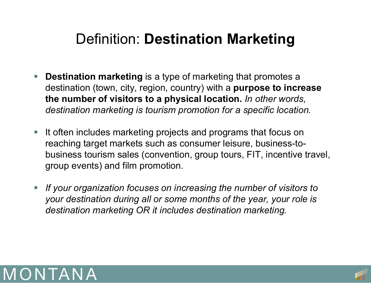# Definition: **Destination Marketing**

- Ξ **Destination marketing** is a type of marketing that promotes a destination (town, city, region, country) with a **purpose to increase the number of visitors to a physical location.** *In other words, destination marketing is tourism promotion for a specific location.*
- Ξ It often includes marketing projects and programs that focus on reaching target markets such as consumer leisure, business-tobusiness tourism sales (convention, group tours, FIT, incentive travel, group events) and film promotion.
- Ξ *If your organization focuses on increasing the number of visitors to your destination during all or some months of the year, your role is destination marketing OR it includes destination marketing.*



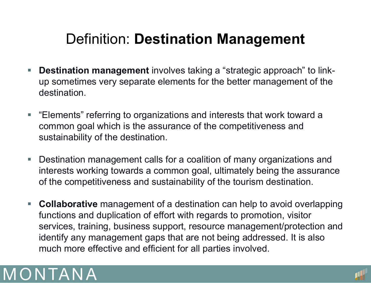# Definition: **Destination Management**

- π **Destination management** involves taking a "strategic approach" to linkup sometimes very separate elements for the better management of the destination.
- $\Box$  "Elements" referring to organizations and interests that work toward a common goal which is the assurance of the competitiveness and sustainability of the destination.
- $\overline{\phantom{a}}$  Destination management calls for a coalition of many organizations and interests working towards a common goal, ultimately being the assurance of the competitiveness and sustainability of the tourism destination.
- $\Box$  **Collaborative** management of a destination can help to avoid overlapping functions and duplication of effort with regards to promotion, visitor services, training, business support, resource management/protection and identify any management gaps that are not being addressed. It is also much more effective and efficient for all parties involved.



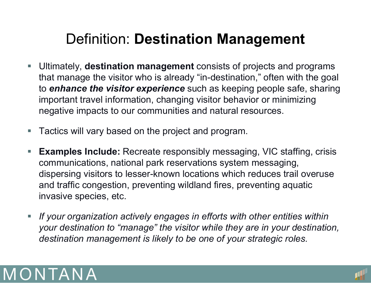# Definition: **Destination Management**

- **Service Service**  Ultimately, **destination management** consists of projects and programs that manage the visitor who is already "in-destination," often with the goal to *enhance the visitor experience* such as keeping people safe, sharing important travel information, changing visitor behavior or minimizing negative impacts to our communities and natural resources.
- π Tactics will vary based on the project and program.
- **Service Service Examples Include:** Recreate responsibly messaging, VIC staffing, crisis communications, national park reservations system messaging, dispersing visitors to lesser-known locations which reduces trail overuse and traffic congestion, preventing wildland fires, preventing aquatic invasive species, etc.
- $\overline{\phantom{a}}$  *If your organization actively engages in efforts with other entities within your destination to "manage" the visitor while they are in your destination, destination management is likely to be one of your strategic roles.*



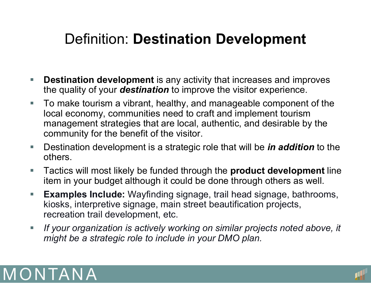# Definition: **Destination Development**

- $\overline{\phantom{a}}$  **Destination development** is any activity that increases and improves the quality of your *destination* to improve the visitor experience.
- $\Box$  To make tourism a vibrant, healthy, and manageable component of the local economy, communities need to craft and implement tourism management strategies that are local, authentic, and desirable by the community for the benefit of the visitor.
- $\Box$  Destination development is a strategic role that will be *in addition* to the others.
- $\overline{\phantom{a}}$  Tactics will most likely be funded through the **product development** line item in your budget although it could be done through others as well.
- $\mathcal{L}_{\mathcal{A}}$  **Examples Include:** Wayfinding signage, trail head signage, bathrooms, kiosks, interpretive signage, main street beautification projects, recreation trail development, etc.
- $\mathcal{L}_{\mathcal{A}}$  *If your organization is actively working on similar projects noted above, it might be a strategic role to include in your DMO plan.*



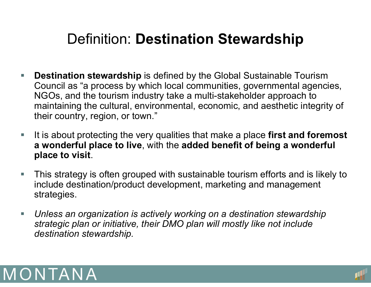# Definition: **Destination Stewardship**

- $\overline{\phantom{a}}$  **Destination stewardship** is defined by the Global Sustainable Tourism Council as "a process by which local communities, governmental agencies, NGOs, and the tourism industry take a multi-stakeholder approach to maintaining the cultural, environmental, economic, and aesthetic integrity of their country, region, or town."
- $\Box$  It is about protecting the very qualities that make a place **first and foremost a wonderful place to live**, with the **added benefit of being a wonderful place to visit**.
- $\Box$  This strategy is often grouped with sustainable tourism efforts and is likely to include destination/product development, marketing and management strategies.
- $\Box$  *Unless an organization is actively working on a destination stewardship strategic plan or initiative, their DMO plan will mostly like not include destination stewardship.*



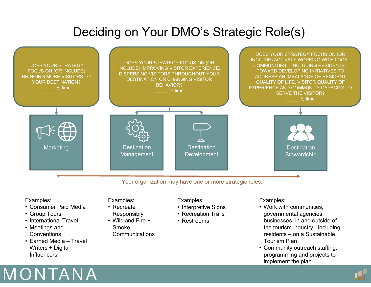### Deciding on Your DMO's Strategic Role(s)



#### Examples:

- Consumer Paid Media
- Group Tours
- International Travel
- Meetings and **Conventions**
- Earned Media Travel Writers + Digital **Influencers**

#### Examples:

- Recreate Responsibly
- Wildland Fire + Smoke
	- **Communications**

#### Examples:

- Interpretive Signs
- Recreation Trails
- Restrooms

#### Examples:

- Work with communities, governmental agencies, businesses, in and outside of the tourism industry - including residents – on a Sustainable Tourism Plan
- Community outreach staffing, programming and projects to implement the plan



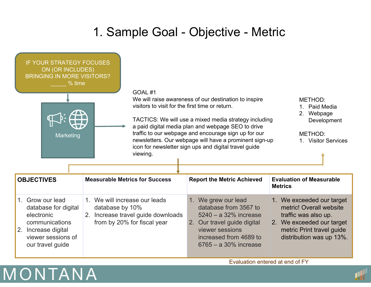### 1. Sample Goal - Objective - Metric

| <b>IF YOUR STRATEGY FOCUSES</b><br>ON (OR INCLUDES)<br><b>BRINGING IN MORE VISITORS?</b><br>% time<br>GOAL#1<br>visitors to visit for the first time or return.<br>Marketing<br>viewing. |                                                                                                                          | We will raise awareness of our destination to inspire<br>TACTICS: We will use a mixed media strategy including<br>a paid digital media plan and webpage SEO to drive<br>traffic to our webpage and encourage sign up for our<br>newsletters. Our webpage will have a prominent sign-up<br>icon for newsletter sign ups and digital travel guide | METHOD:<br>Paid Media<br>$1 \quad$<br>2. Webpage<br>Development<br>METHOD:<br>1. Visitor Services                                                                  |
|------------------------------------------------------------------------------------------------------------------------------------------------------------------------------------------|--------------------------------------------------------------------------------------------------------------------------|-------------------------------------------------------------------------------------------------------------------------------------------------------------------------------------------------------------------------------------------------------------------------------------------------------------------------------------------------|--------------------------------------------------------------------------------------------------------------------------------------------------------------------|
| <b>OBJECTIVES</b>                                                                                                                                                                        | <b>Measurable Metrics for Success</b>                                                                                    | <b>Report the Metric Achieved</b>                                                                                                                                                                                                                                                                                                               | <b>Evaluation of Measurable</b><br><b>Metrics</b>                                                                                                                  |
| 1. Grow our lead<br>database for digital<br>electronic<br>communications<br>2. Increase digital<br>viewer sessions of<br>our travel guide                                                | 1. We will increase our leads<br>database by 10%<br>Increase travel guide downloads<br>2.<br>from by 20% for fiscal year | 1. We grew our lead<br>database from 3567 to<br>$5240 - a$ 32% increase<br>2. Our travel guide digital<br>viewer sessions<br>increased from 4689 to<br>$6765 - a 30\%$ increase                                                                                                                                                                 | 1. We exceeded our target<br>metric! Overall website<br>traffic was also up.<br>2. We exceeded our target<br>metric Print travel guide<br>distribution was up 13%. |



Evaluation entered at end of FY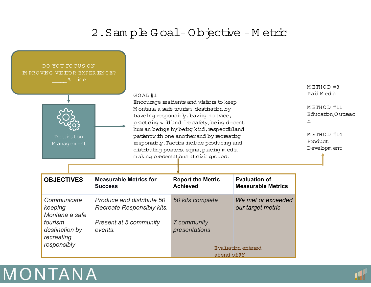#### 2.Sam ple G oal-O bjective -M etric



| <b>OBJECTIVES</b>                        | <b>Measurable Metrics for</b><br><b>Success</b>                | <b>Report the Metric</b><br><b>Achieved</b> | <b>Evaluation of</b><br><b>Measurable Metrics</b> |
|------------------------------------------|----------------------------------------------------------------|---------------------------------------------|---------------------------------------------------|
| Communicate<br>keeping<br>Montana a safe | Produce and distribute 50<br><b>Recreate Responsibly kits.</b> | 50 kits complete                            | We met or exceeded<br>our target metric           |
| tourism<br>destination by<br>recreating  | <b>Present at 5 community</b><br>events.                       | 7 community<br>presentations                |                                                   |
| responsibly                              |                                                                | atend of FY                                 | Evaluation entered                                |



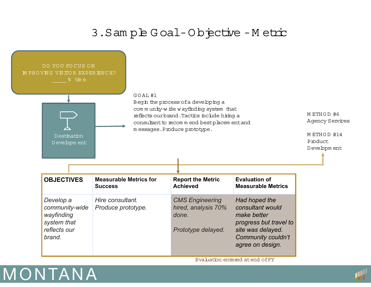#### 3.Sam ple G oal-O bjective -M etric



Evaluation entered atend ofFY



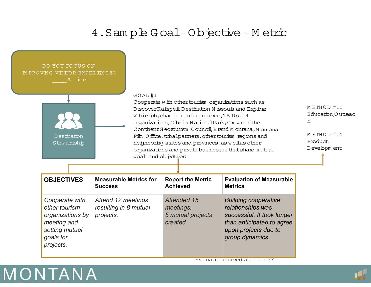#### 4. Sam ple Goal-Objective - Metric



Evaluation entered atend ofFY



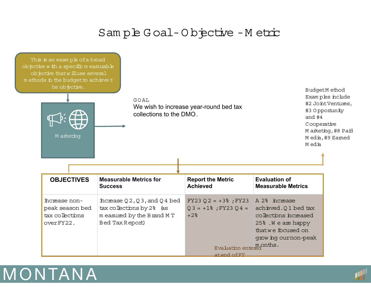#### Sample Goal-Objective - Metric





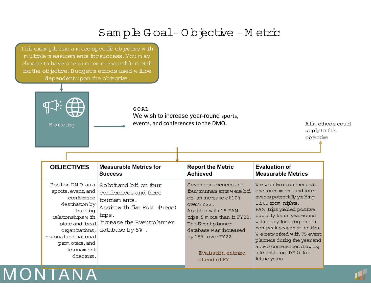#### Sam ple G oal-O bjective -M etric

This exam ple has a m ore specific objective with <sup>m</sup> ultiple m easurem ents forsuccess.You m ay choose to have one orm ore m easurable m etric for the objective. Budgetm ethods used w ill be dependentupon the objective.



MONTANA

 $G O A L$ 

We wish to increase year-round sports, events, and conferences to the DMO**.**

Allm ethods could apply to this objective

| <b>Measurable Metrics for</b><br><b>OBJECTIVES</b><br><b>Success</b>                                                                                                                                                                                                                                                                                                            | <b>Report the Metric</b><br><b>Achieved</b>                                                                                                                                                                                                            | <b>Evaluation of</b><br><b>Measurable Metrics</b>                                                                                                                                                                                                                                                                                                                         |
|---------------------------------------------------------------------------------------------------------------------------------------------------------------------------------------------------------------------------------------------------------------------------------------------------------------------------------------------------------------------------------|--------------------------------------------------------------------------------------------------------------------------------------------------------------------------------------------------------------------------------------------------------|---------------------------------------------------------------------------------------------------------------------------------------------------------------------------------------------------------------------------------------------------------------------------------------------------------------------------------------------------------------------------|
| Position DMO as a<br>Solttand bil on four<br>sports, event, and<br>conferences and three<br>conference<br>toumam ents.<br>destination by<br>Assistwith five FAM (Press)<br>building<br>trips.<br>relationships with<br>Increase the Eventplanner<br>state and bcal<br>database by 5%.<br>organizations,<br>regional and national<br>prom oters, and<br>toumam ent<br>directors. | Seven conferences and<br>fourtoumam ents were bid<br>on.an increase of 10%<br>overFY22.<br>Assisted with 15 FAM<br>trips, 5 m ore than in FY22.<br>The Eventplanner<br>database was increased<br>by 15% overFY22.<br>Evaluation entered<br>atend of FY | We won two conferences,<br>one toumam ent, and four<br>events potentially yielding<br>1,500 room nights.<br>FAM trips yielded positive<br>publicity forus year-round<br>w ith m any focusing on our<br>non-peak season am enties.<br>We networked with 75 event<br>planners during the year and<br>at two conferences drawing<br>interest to our DMO for<br>future years. |

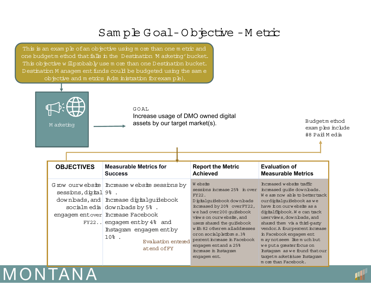### Sam ple G oal-O bjective -M etric

This is an exam ple of an objective using m ore than one m etric and one budgetm ethod that falls in the Destination M arketing' bucket. This objective w ill probably use m ore than one Destination bucket. Destination M anagem ent funds could be budgeted using the same objective and m etrics Adm inistration for example).

MONTANA



| <b>OBJECTIVES</b>        | <b>Measurable Metrics for</b>                                                                                                                                                                                                                                                | <b>Report the Metric</b>                                                                                                                                                                                                                                                                                                                                         | <b>Evaluation of</b>                                                                                                                                                                                                                                                                                                                                                                                                                                              |
|--------------------------|------------------------------------------------------------------------------------------------------------------------------------------------------------------------------------------------------------------------------------------------------------------------------|------------------------------------------------------------------------------------------------------------------------------------------------------------------------------------------------------------------------------------------------------------------------------------------------------------------------------------------------------------------|-------------------------------------------------------------------------------------------------------------------------------------------------------------------------------------------------------------------------------------------------------------------------------------------------------------------------------------------------------------------------------------------------------------------------------------------------------------------|
|                          | <b>Success</b>                                                                                                                                                                                                                                                               | <b>Achieved</b>                                                                                                                                                                                                                                                                                                                                                  | <b>Measurable Metrics</b>                                                                                                                                                                                                                                                                                                                                                                                                                                         |
| $s$ essions, digital 9%. | G row ourwebsite   Increase website sessions by<br>downbads, and Increase digital quidebook<br>socialmedia downbads by $5\%$ .<br>engagem entover Increase Facebook<br>$FY22$ engagem entby 4% and<br>Instagram engagementby<br>$108$ .<br>Evaluation entered<br>atend of FY | W ebsite<br>sessions increase 25% in over<br>FY22.<br>Digital quidebook down bads<br>increased by 20% overFY22,<br>we had over200 quidebook<br>views on ourwebsite, and<br>users shared the quidebook<br>with 82 otherem ailaddresses<br>oron socialphatiom s.3%<br>percent increase in Facebook<br>engagem entand a 25%<br>ncrease in Instagram<br>engagem ent. | Increased website traffic<br>increased quide downbads.<br>We are now able to better track<br>ourdidialquidebook as we<br>have it on ourwebsite as a<br>digitalflipbook. We can track<br>userviews, downbads, and<br>shared them via a third-party<br>vendor. A fourpercent increase<br>in Facebook engagem ent<br>m ay notseem like much but<br>we put a qreater focus on<br>Instagram as we found that our<br>targetmarket@use Instagram<br>m ore than Facebook. |

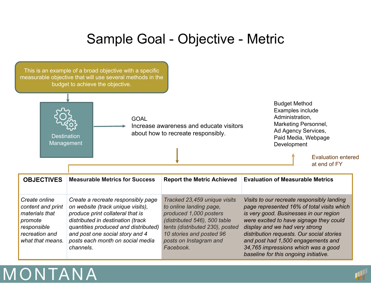## Sample Goal - Objective - Metric



# MONTANA

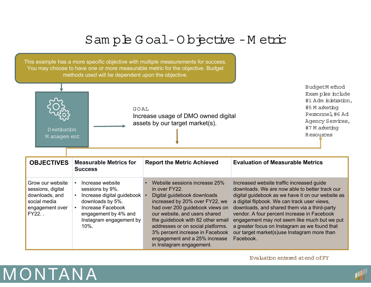### Sam ple G oal-O bjective -M etric

This example has a more specific objective with multiple measurements for success. You may choose to have one or more measurable metric for the objective. Budget methods used will be dependent upon the objective.



BudgetM ethod Exam ples include #1 Adm inistration, #5 M arketing Personnel,#6 Ad Agency Services, #7 M arketing Resources

| <b>Measurable Metrics for</b><br><b>OBJECTIVES</b><br><b>Success</b>                                                                                                                                                                                                                 | <b>Report the Metric Achieved</b>                                        |                                                                                                                                                                                                                                                                                                | <b>Evaluation of Measurable Metrics</b>                                                                                                                                                                                                                                                                                                                                                                                                         |
|--------------------------------------------------------------------------------------------------------------------------------------------------------------------------------------------------------------------------------------------------------------------------------------|--------------------------------------------------------------------------|------------------------------------------------------------------------------------------------------------------------------------------------------------------------------------------------------------------------------------------------------------------------------------------------|-------------------------------------------------------------------------------------------------------------------------------------------------------------------------------------------------------------------------------------------------------------------------------------------------------------------------------------------------------------------------------------------------------------------------------------------------|
| Grow our website<br>Increase website<br>sessions by 9%.<br>sessions, digital<br>downloads, and<br>Increase digital guidebook<br>downloads by 5%.<br>social media<br>Increase Facebook<br>engagement over<br>$FY22.$ .<br>engagement by 4% and<br>Instagram engagement by<br>$10\%$ . | in over FY22.<br>Digital guidebook downloads<br>in Instagram engagement. | Website sessions increase 25%<br>increased by 20% over FY22, we<br>had over 200 guidebook views on<br>our website, and users shared<br>the guidebook with 82 other email<br>addresses or on social platforms.<br>3% percent increase in Facebook<br>engagement and a 25% increase<br>Facebook. | Increased website traffic increased guide<br>downloads. We are now able to better track our<br>digital guidebook as we have it on our website as<br>a digital flipbook. We can track user views,<br>downloads, and shared them via a third-party<br>vendor. A four percent increase in Facebook<br>engagement may not seem like much but we put<br>a greater focus on Instagram as we found that<br>our target market(s)use Instagram more than |